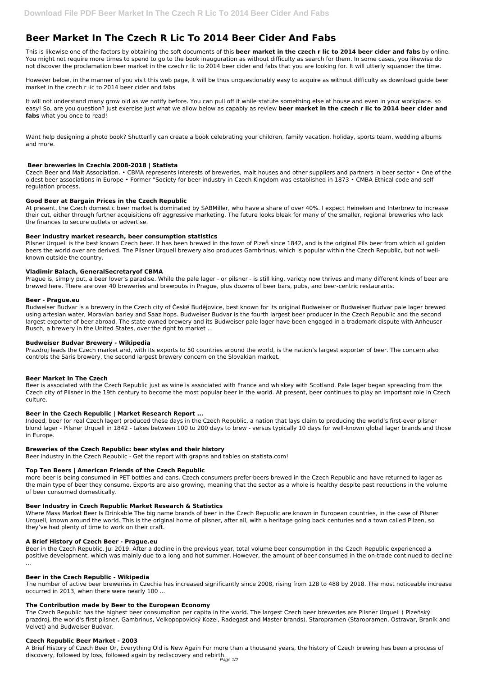# **Beer Market In The Czech R Lic To 2014 Beer Cider And Fabs**

This is likewise one of the factors by obtaining the soft documents of this **beer market in the czech r lic to 2014 beer cider and fabs** by online. You might not require more times to spend to go to the book inauguration as without difficulty as search for them. In some cases, you likewise do not discover the proclamation beer market in the czech r lic to 2014 beer cider and fabs that you are looking for. It will utterly squander the time.

However below, in the manner of you visit this web page, it will be thus unquestionably easy to acquire as without difficulty as download guide beer market in the czech r lic to 2014 beer cider and fabs

It will not understand many grow old as we notify before. You can pull off it while statute something else at house and even in your workplace. so easy! So, are you question? Just exercise just what we allow below as capably as review **beer market in the czech r lic to 2014 beer cider and fabs** what you once to read!

Want help designing a photo book? Shutterfly can create a book celebrating your children, family vacation, holiday, sports team, wedding albums and more.

# **Beer breweries in Czechia 2008-2018 | Statista**

Czech Beer and Malt Association. • CBMA represents interests of breweries, malt houses and other suppliers and partners in beer sector • One of the oldest beer associations in Europe • Former "Society for beer industry in Czech Kingdom was established in 1873 • CMBA Ethical code and selfregulation process.

## **Good Beer at Bargain Prices in the Czech Republic**

At present, the Czech domestic beer market is dominated by SABMiller, who have a share of over 40%. I expect Heineken and Interbrew to increase their cut, either through further acquisitions ofr aggressive marketing. The future looks bleak for many of the smaller, regional breweries who lack the finances to secure outlets or advertise.

## **Beer industry market research, beer consumption statistics**

Pilsner Urquell is the best known Czech beer. It has been brewed in the town of Plzeň since 1842, and is the original Pils beer from which all golden beers the world over are derived. The Pilsner Urquell brewery also produces Gambrinus, which is popular within the Czech Republic, but not wellknown outside the country.

## **Vladimir Balach, GeneralSecretaryof CBMA**

Prague is, simply put, a beer lover's paradise. While the pale lager - or pilsner - is still king, variety now thrives and many different kinds of beer are brewed here. There are over 40 breweries and brewpubs in Prague, plus dozens of beer bars, pubs, and beer-centric restaurants.

## **Beer - Prague.eu**

Budweiser Budvar is a brewery in the Czech city of České Budějovice, best known for its original Budweiser or Budweiser Budvar pale lager brewed using artesian water, Moravian barley and Saaz hops. Budweiser Budvar is the fourth largest beer producer in the Czech Republic and the second largest exporter of beer abroad. The state-owned brewery and its Budweiser pale lager have been engaged in a trademark dispute with Anheuser-Busch, a brewery in the United States, over the right to market ...

## **Budweiser Budvar Brewery - Wikipedia**

Prazdroj leads the Czech market and, with its exports to 50 countries around the world, is the nation's largest exporter of beer. The concern also controls the Saris brewery, the second largest brewery concern on the Slovakian market.

## **Beer Market In The Czech**

Beer is associated with the Czech Republic just as wine is associated with France and whiskey with Scotland. Pale lager began spreading from the Czech city of Pilsner in the 19th century to become the most popular beer in the world. At present, beer continues to play an important role in Czech culture.

## **Beer in the Czech Republic | Market Research Report ...**

Indeed, beer (or real Czech lager) produced these days in the Czech Republic, a nation that lays claim to producing the world's first-ever pilsner blond lager - Pilsner Urquell in 1842 - takes between 100 to 200 days to brew - versus typically 10 days for well-known global lager brands and those in Europe.

## **Breweries of the Czech Republic: beer styles and their history**

Beer industry in the Czech Republic - Get the report with graphs and tables on statista.com!

## **Top Ten Beers | American Friends of the Czech Republic**

more beer is being consumed in PET bottles and cans. Czech consumers prefer beers brewed in the Czech Republic and have returned to lager as the main type of beer they consume. Exports are also growing, meaning that the sector as a whole is healthy despite past reductions in the volume of beer consumed domestically.

## **Beer Industry in Czech Republic Market Research & Statistics**

Where Mass Market Beer Is Drinkable The big name brands of beer in the Czech Republic are known in European countries, in the case of Pilsner Urquell, known around the world. This is the original home of pilsner, after all, with a heritage going back centuries and a town called Pilzen, so they've had plenty of time to work on their craft.

#### **A Brief History of Czech Beer - Prague.eu**

Beer in the Czech Republic. Jul 2019. After a decline in the previous year, total volume beer consumption in the Czech Republic experienced a positive development, which was mainly due to a long and hot summer. However, the amount of beer consumed in the on-trade continued to decline ...

#### **Beer in the Czech Republic - Wikipedia**

The number of active beer breweries in Czechia has increased significantly since 2008, rising from 128 to 488 by 2018. The most noticeable increase occurred in 2013, when there were nearly 100 ...

#### **The Contribution made by Beer to the European Economy**

The Czech Republic has the highest beer consumption per capita in the world. The largest Czech beer breweries are Pilsner Urquell ( Plzeňský prazdroj, the world's first pilsner, Gambrinus, Velkopopovický Kozel, Radegast and Master brands), Staropramen (Staropramen, Ostravar, Braník and Velvet) and Budweiser Budvar.

## **Czech Republic Beer Market - 2003**

A Brief History of Czech Beer Or, Everything Old is New Again For more than a thousand years, the history of Czech brewing has been a process of discovery, followed by loss, followed again by rediscovery and rebirth.